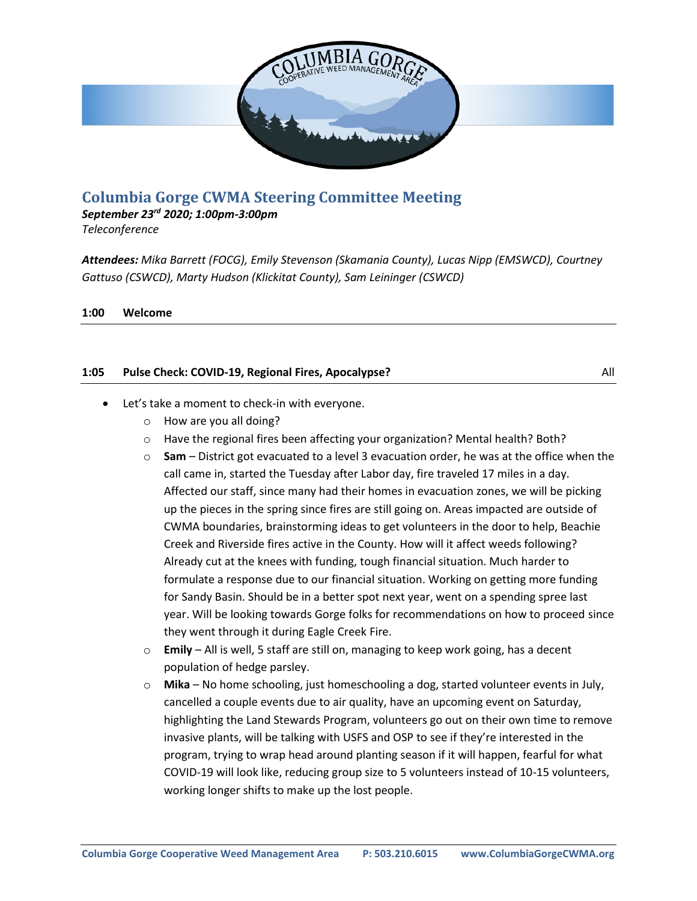

# **Columbia Gorge CWMA Steering Committee Meeting**

*September 23rd 2020; 1:00pm-3:00pm*

*Teleconference*

*Attendees: Mika Barrett (FOCG), Emily Stevenson (Skamania County), Lucas Nipp (EMSWCD), Courtney Gattuso (CSWCD), Marty Hudson (Klickitat County), Sam Leininger (CSWCD)*

**1:00 Welcome**

## **1:05 • Pulse Check: COVID-19, Regional Fires, Apocalypse?** All **All All All All**

- Let's take a moment to check-in with everyone.
	- o How are you all doing?
	- o Have the regional fires been affecting your organization? Mental health? Both?
	- o **Sam** District got evacuated to a level 3 evacuation order, he was at the office when the call came in, started the Tuesday after Labor day, fire traveled 17 miles in a day. Affected our staff, since many had their homes in evacuation zones, we will be picking up the pieces in the spring since fires are still going on. Areas impacted are outside of CWMA boundaries, brainstorming ideas to get volunteers in the door to help, Beachie Creek and Riverside fires active in the County. How will it affect weeds following? Already cut at the knees with funding, tough financial situation. Much harder to formulate a response due to our financial situation. Working on getting more funding for Sandy Basin. Should be in a better spot next year, went on a spending spree last year. Will be looking towards Gorge folks for recommendations on how to proceed since they went through it during Eagle Creek Fire.
	- o **Emily** All is well, 5 staff are still on, managing to keep work going, has a decent population of hedge parsley.
	- o **Mika** No home schooling, just homeschooling a dog, started volunteer events in July, cancelled a couple events due to air quality, have an upcoming event on Saturday, highlighting the Land Stewards Program, volunteers go out on their own time to remove invasive plants, will be talking with USFS and OSP to see if they're interested in the program, trying to wrap head around planting season if it will happen, fearful for what COVID-19 will look like, reducing group size to 5 volunteers instead of 10-15 volunteers, working longer shifts to make up the lost people.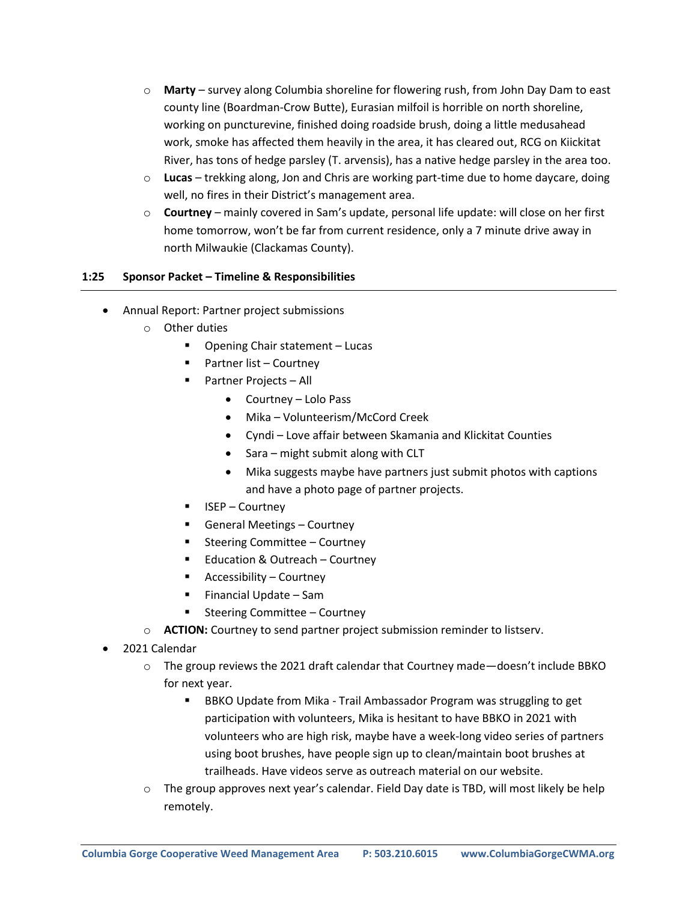- o **Marty** survey along Columbia shoreline for flowering rush, from John Day Dam to east county line (Boardman-Crow Butte), Eurasian milfoil is horrible on north shoreline, working on puncturevine, finished doing roadside brush, doing a little medusahead work, smoke has affected them heavily in the area, it has cleared out, RCG on Kiickitat River, has tons of hedge parsley (T. arvensis), has a native hedge parsley in the area too.
- o **Lucas** trekking along, Jon and Chris are working part-time due to home daycare, doing well, no fires in their District's management area.
- o **Courtney**  mainly covered in Sam's update, personal life update: will close on her first home tomorrow, won't be far from current residence, only a 7 minute drive away in north Milwaukie (Clackamas County).

#### **1:25 Sponsor Packet – Timeline & Responsibilities**

- Annual Report: Partner project submissions
	- o Other duties
		- Opening Chair statement Lucas
		- Partner list Courtney
		- Partner Projects All
			- Courtney Lolo Pass
			- Mika Volunteerism/McCord Creek
			- Cyndi Love affair between Skamania and Klickitat Counties
			- Sara might submit along with CLT
			- Mika suggests maybe have partners just submit photos with captions and have a photo page of partner projects.
		- ISEP Courtney
		- General Meetings Courtney
		- Steering Committee Courtney
		- Education & Outreach Courtney
		- Accessibility Courtney
		- Financial Update Sam
		- Steering Committee Courtney
	- o **ACTION:** Courtney to send partner project submission reminder to listserv.
- 2021 Calendar
	- $\circ$  The group reviews the 2021 draft calendar that Courtney made—doesn't include BBKO for next year.
		- BBKO Update from Mika Trail Ambassador Program was struggling to get participation with volunteers, Mika is hesitant to have BBKO in 2021 with volunteers who are high risk, maybe have a week-long video series of partners using boot brushes, have people sign up to clean/maintain boot brushes at trailheads. Have videos serve as outreach material on our website.
	- $\circ$  The group approves next year's calendar. Field Day date is TBD, will most likely be help remotely.